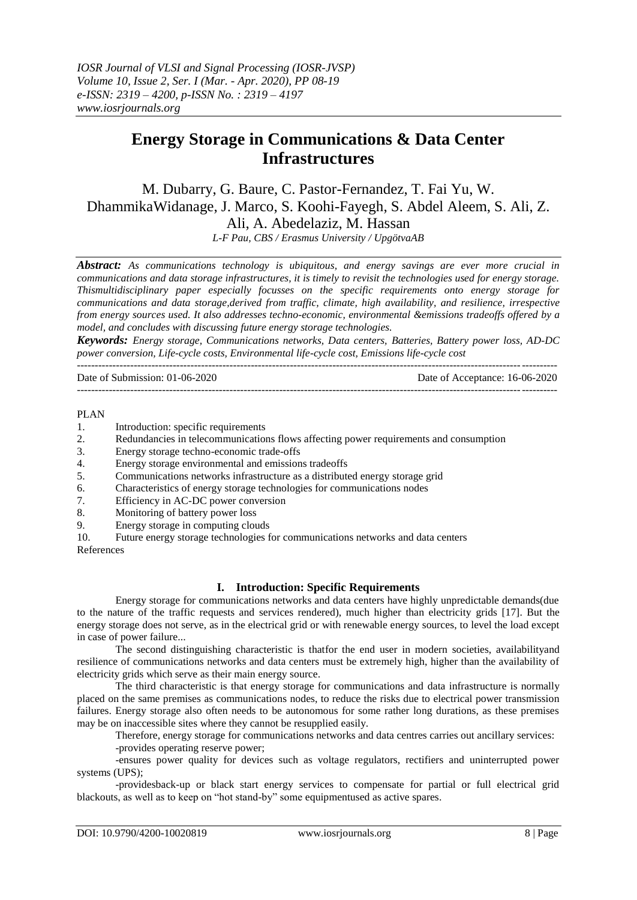# **Energy Storage in Communications & Data Center Infrastructures**

M. Dubarry, G. Baure, C. Pastor-Fernandez, T. Fai Yu, W. DhammikaWidanage, J. Marco, S. Koohi-Fayegh, S. Abdel Aleem, S. Ali, Z. Ali, A. Abedelaziz, M. Hassan

*L-F Pau, CBS / Erasmus University / UpgötvaAB*

*Abstract: As communications technology is ubiquitous, and energy savings are ever more crucial in communications and data storage infrastructures, it is timely to revisit the technologies used for energy storage. Thismultidisciplinary paper especially focusses on the specific requirements onto energy storage for communications and data storage,derived from traffic, climate, high availability, and resilience, irrespective from energy sources used. It also addresses techno-economic, environmental &emissions tradeoffs offered by a model, and concludes with discussing future energy storage technologies.*

*Keywords: Energy storage, Communications networks, Data centers, Batteries, Battery power loss, AD-DC power conversion, Life-cycle costs, Environmental life-cycle cost, Emissions life-cycle cost* ---------------------------------------------------------------------------------------------------------------------------------------

---------------------------------------------------------------------------------------------------------------------------------------

Date of Submission: 01-06-2020 Date of Acceptance: 16-06-2020

#### PLAN

- 1. Introduction: specific requirements
- 2. Redundancies in telecommunications flows affecting power requirements and consumption
- 3. Energy storage techno-economic trade-offs
- 4. Energy storage environmental and emissions tradeoffs
- 5. Communications networks infrastructure as a distributed energy storage grid
- 6. Characteristics of energy storage technologies for communications nodes
- 7. Efficiency in AC-DC power conversion
- 8. Monitoring of battery power loss
- 9. Energy storage in computing clouds

10. Future energy storage technologies for communications networks and data centers References

#### **I. Introduction: Specific Requirements**

Energy storage for communications networks and data centers have highly unpredictable demands(due to the nature of the traffic requests and services rendered), much higher than electricity grids [17]. But the energy storage does not serve, as in the electrical grid or with renewable energy sources, to level the load except in case of power failure...

The second distinguishing characteristic is thatfor the end user in modern societies, availabilityand resilience of communications networks and data centers must be extremely high, higher than the availability of electricity grids which serve as their main energy source.

The third characteristic is that energy storage for communications and data infrastructure is normally placed on the same premises as communications nodes, to reduce the risks due to electrical power transmission failures. Energy storage also often needs to be autonomous for some rather long durations, as these premises may be on inaccessible sites where they cannot be resupplied easily.

Therefore, energy storage for communications networks and data centres carries out ancillary services:

-provides operating reserve power;

-ensures power quality for devices such as voltage regulators, rectifiers and uninterrupted power systems (UPS);

-providesback-up or black start energy services to compensate for partial or full electrical grid blackouts, as well as to keep on "hot stand-by" some equipmentused as active spares.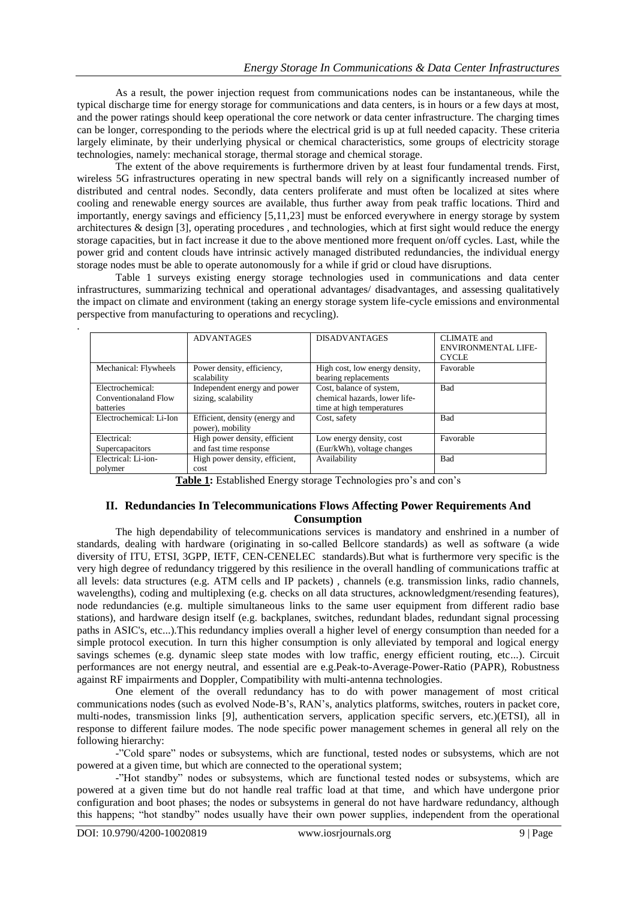As a result, the power injection request from communications nodes can be instantaneous, while the typical discharge time for energy storage for communications and data centers, is in hours or a few days at most, and the power ratings should keep operational the core network or data center infrastructure. The charging times can be longer, corresponding to the periods where the electrical grid is up at full needed capacity. These criteria largely eliminate, by their underlying physical or chemical characteristics, some groups of electricity storage technologies, namely: mechanical storage, thermal storage and chemical storage.

The extent of the above requirements is furthermore driven by at least four fundamental trends. First, wireless 5G infrastructures operating in new spectral bands will rely on a significantly increased number of distributed and central nodes. Secondly, data centers proliferate and must often be localized at sites where cooling and renewable energy sources are available, thus further away from peak traffic locations. Third and importantly, energy savings and efficiency [5,11,23] must be enforced everywhere in energy storage by system architectures & design [3], operating procedures , and technologies, which at first sight would reduce the energy storage capacities, but in fact increase it due to the above mentioned more frequent on/off cycles. Last, while the power grid and content clouds have intrinsic actively managed distributed redundancies, the individual energy storage nodes must be able to operate autonomously for a while if grid or cloud have disruptions.

Table 1 surveys existing energy storage technologies used in communications and data center infrastructures, summarizing technical and operational advantages/ disadvantages, and assessing qualitatively the impact on climate and environment (taking an energy storage system life-cycle emissions and environmental perspective from manufacturing to operations and recycling).

|                         | <b>ADVANTAGES</b>              | <b>DISADVANTAGES</b>           | CLIMATE and                |
|-------------------------|--------------------------------|--------------------------------|----------------------------|
|                         |                                |                                | <b>ENVIRONMENTAL LIFE-</b> |
|                         |                                |                                | <b>CYCLE</b>               |
| Mechanical: Flywheels   | Power density, efficiency,     | High cost, low energy density, | Favorable                  |
|                         | scalability                    | bearing replacements           |                            |
| Electrochemical:        | Independent energy and power   | Cost, balance of system,       | <b>Bad</b>                 |
| Conventionaland Flow    | sizing, scalability            | chemical hazards, lower life-  |                            |
| <b>batteries</b>        |                                | time at high temperatures      |                            |
| Electrochemical: Li-Ion | Efficient, density (energy and | Cost, safety                   | <b>Bad</b>                 |
|                         | power), mobility               |                                |                            |
| Electrical:             | High power density, efficient  | Low energy density, cost       | Favorable                  |
| Supercapacitors         | and fast time response         | (Eur/kWh), voltage changes     |                            |
| Electrical: Li-ion-     | High power density, efficient, | Availability                   | Bad                        |
| polymer                 | cost                           |                                |                            |

Table 1: Established Energy storage Technologies pro's and con's

## **II. Redundancies In Telecommunications Flows Affecting Power Requirements And Consumption**

The high dependability of telecommunications services is mandatory and enshrined in a number of standards, dealing with hardware (originating in so-called Bellcore standards) as well as software (a wide diversity of ITU, ETSI, 3GPP, IETF, CEN-CENELEC standards).But what is furthermore very specific is the very high degree of redundancy triggered by this resilience in the overall handling of communications traffic at all levels: data structures (e.g. ATM cells and IP packets) , channels (e.g. transmission links, radio channels, wavelengths), coding and multiplexing (e.g. checks on all data structures, acknowledgment/resending features), node redundancies (e.g. multiple simultaneous links to the same user equipment from different radio base stations), and hardware design itself (e.g. backplanes, switches, redundant blades, redundant signal processing paths in ASIC's, etc...).This redundancy implies overall a higher level of energy consumption than needed for a simple protocol execution. In turn this higher consumption is only alleviated by temporal and logical energy savings schemes (e.g. dynamic sleep state modes with low traffic, energy efficient routing, etc...). Circuit performances are not energy neutral, and essential are e.g.Peak-to-Average-Power-Ratio (PAPR), Robustness against RF impairments and Doppler, Compatibility with multi-antenna technologies.

One element of the overall redundancy has to do with power management of most critical communications nodes (such as evolved Node-B"s, RAN"s, analytics platforms, switches, routers in packet core, multi-nodes, transmission links [9], authentication servers, application specific servers, etc.)(ETSI), all in response to different failure modes. The node specific power management schemes in general all rely on the following hierarchy:

-"Cold spare" nodes or subsystems, which are functional, tested nodes or subsystems, which are not powered at a given time, but which are connected to the operational system;

-"Hot standby" nodes or subsystems, which are functional tested nodes or subsystems, which are powered at a given time but do not handle real traffic load at that time, and which have undergone prior configuration and boot phases; the nodes or subsystems in general do not have hardware redundancy, although this happens; "hot standby" nodes usually have their own power supplies, independent from the operational

.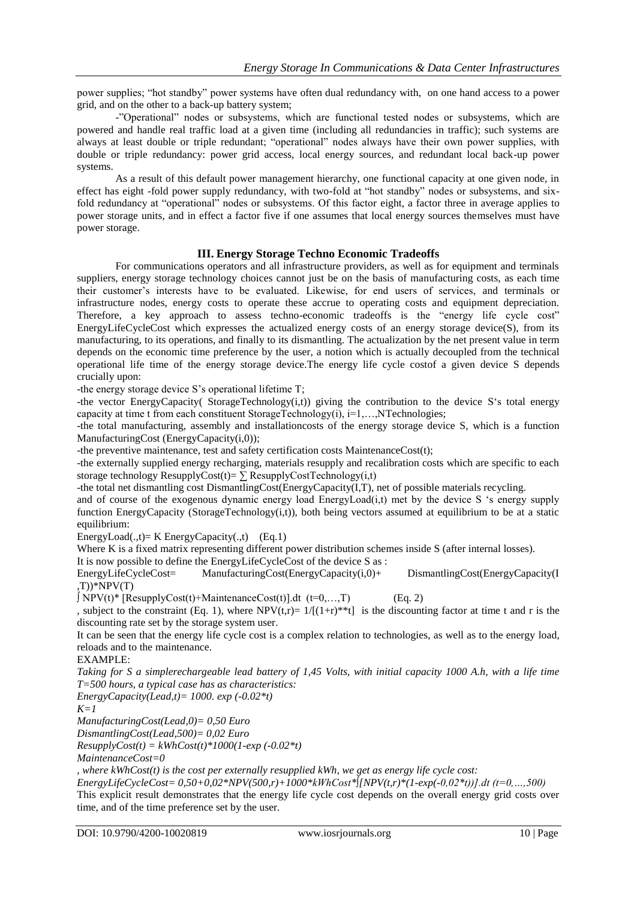power supplies; "hot standby" power systems have often dual redundancy with, on one hand access to a power grid, and on the other to a back-up battery system;

-"Operational" nodes or subsystems, which are functional tested nodes or subsystems, which are powered and handle real traffic load at a given time (including all redundancies in traffic); such systems are always at least double or triple redundant; "operational" nodes always have their own power supplies, with double or triple redundancy: power grid access, local energy sources, and redundant local back-up power systems.

As a result of this default power management hierarchy, one functional capacity at one given node, in effect has eight -fold power supply redundancy, with two-fold at "hot standby" nodes or subsystems, and sixfold redundancy at "operational" nodes or subsystems. Of this factor eight, a factor three in average applies to power storage units, and in effect a factor five if one assumes that local energy sources themselves must have power storage.

## **III. Energy Storage Techno Economic Tradeoffs**

For communications operators and all infrastructure providers, as well as for equipment and terminals suppliers, energy storage technology choices cannot just be on the basis of manufacturing costs, as each time their customer"s interests have to be evaluated. Likewise, for end users of services, and terminals or infrastructure nodes, energy costs to operate these accrue to operating costs and equipment depreciation. Therefore, a key approach to assess techno-economic tradeoffs is the "energy life cycle cost" EnergyLifeCycleCost which expresses the actualized energy costs of an energy storage device(S), from its manufacturing, to its operations, and finally to its dismantling. The actualization by the net present value in term depends on the economic time preference by the user, a notion which is actually decoupled from the technical operational life time of the energy storage device.The energy life cycle costof a given device S depends crucially upon:

-the energy storage device S"s operational lifetime T;

-the vector EnergyCapacity( StorageTechnology $(i,t)$ ) giving the contribution to the device S's total energy capacity at time t from each constituent StorageTechnology(i),  $i=1,...,NT$ echnologies;

-the total manufacturing, assembly and installationcosts of the energy storage device S, which is a function ManufacturingCost (EnergyCapacity(i,0));

-the preventive maintenance, test and safety certification costs MaintenanceCost(t);

-the externally supplied energy recharging, materials resupply and recalibration costs which are specific to each storage technology ResupplyCost(t)=  $\sum$  ResupplyCostTechnology(i,t)

-the total net dismantling cost DismantlingCost(EnergyCapacity(I,T), net of possible materials recycling.

and of course of the exogenous dynamic energy load EnergyLoad(i,t) met by the device S "s energy supply function EnergyCapacity (StorageTechnology(i,t)), both being vectors assumed at equilibrium to be at a static equilibrium:

EnergyLoad(.,t)= K EnergyCapacity(.,t)  $(Eq.1)$ 

Where K is a fixed matrix representing different power distribution schemes inside S (after internal losses).

It is now possible to define the EnergyLifeCycleCost of the device S as :

EnergyLifeCycleCost= ManufacturingCost(EnergyCapacity(i,0)+ DismantlingCost(EnergyCapacity(I  $(T)$ <sup>\*</sup>NPV(T)

 $∫ NPV(t)*$  [ResupplyCost(t)+MaintenanceCost(t)].dt (t=0,...,T) (Eq. 2)

, subject to the constraint (Eq. 1), where NPV(t,r)=  $1/[(1+r)**t]$  is the discounting factor at time t and r is the discounting rate set by the storage system user.

It can be seen that the energy life cycle cost is a complex relation to technologies, as well as to the energy load, reloads and to the maintenance.

EXAMPLE:

*Taking for S a simplerechargeable lead battery of 1,45 Volts, with initial capacity 1000 A.h, with a life time T=500 hours, a typical case has as characteristics:*

*EnergyCapacity(Lead,t)= 1000. exp (-0.02\*t)*

*K=1*

*ManufacturingCost(Lead,0)= 0,50 Euro*

*DismantlingCost(Lead,500)= 0,02 Euro*

 $ResupplyCost(t) = kWhCost(t)*1000(1-exp(-0.02*t))$ 

*MaintenanceCost=0*

*, where kWhCost(t) is the cost per externally resupplied kWh, we get as energy life cycle cost:*

*EnergyLifeCycleCost= 0,50+0,02\*NPV(500,r)+1000\*kWhCost\*∫[NPV(t,r)\*(1-exp(-0,02\*t))].dt (t=0,…,500)* This explicit result demonstrates that the energy life cycle cost depends on the overall energy grid costs over

time, and of the time preference set by the user.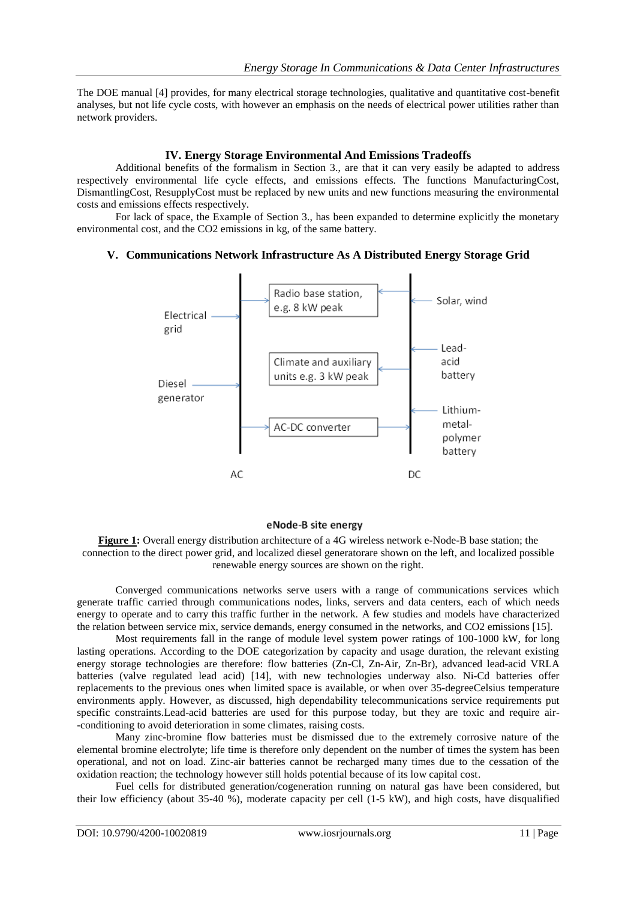The DOE manual [4] provides, for many electrical storage technologies, qualitative and quantitative cost-benefit analyses, but not life cycle costs, with however an emphasis on the needs of electrical power utilities rather than network providers.

## **IV. Energy Storage Environmental And Emissions Tradeoffs**

Additional benefits of the formalism in Section 3., are that it can very easily be adapted to address respectively environmental life cycle effects, and emissions effects. The functions ManufacturingCost, DismantlingCost, ResupplyCost must be replaced by new units and new functions measuring the environmental costs and emissions effects respectively.

For lack of space, the Example of Section 3., has been expanded to determine explicitly the monetary environmental cost, and the CO2 emissions in kg, of the same battery.

## **V. Communications Network Infrastructure As A Distributed Energy Storage Grid**



## eNode-B site energy

**Figure 1:** Overall energy distribution architecture of a 4G wireless network e-Node-B base station; the connection to the direct power grid, and localized diesel generatorare shown on the left, and localized possible renewable energy sources are shown on the right.

Converged communications networks serve users with a range of communications services which generate traffic carried through communications nodes, links, servers and data centers, each of which needs energy to operate and to carry this traffic further in the network. A few studies and models have characterized the relation between service mix, service demands, energy consumed in the networks, and CO2 emissions [15].

Most requirements fall in the range of module level system power ratings of 100-1000 kW, for long lasting operations. According to the DOE categorization by capacity and usage duration, the relevant existing energy storage technologies are therefore: flow batteries (Zn-Cl, Zn-Air, Zn-Br), advanced lead-acid VRLA batteries (valve regulated lead acid) [14], with new technologies underway also. Ni-Cd batteries offer replacements to the previous ones when limited space is available, or when over 35-degreeCelsius temperature environments apply. However, as discussed, high dependability telecommunications service requirements put specific constraints.Lead-acid batteries are used for this purpose today, but they are toxic and require air- -conditioning to avoid deterioration in some climates, raising costs.

Many zinc-bromine flow batteries must be dismissed due to the extremely corrosive nature of the elemental bromine electrolyte; life time is therefore only dependent on the number of times the system has been operational, and not on load. Zinc-air batteries cannot be recharged many times due to the cessation of the oxidation reaction; the technology however still holds potential because of its low capital cost.

Fuel cells for distributed generation/cogeneration running on natural gas have been considered, but their low efficiency (about 35-40 %), moderate capacity per cell (1-5 kW), and high costs, have disqualified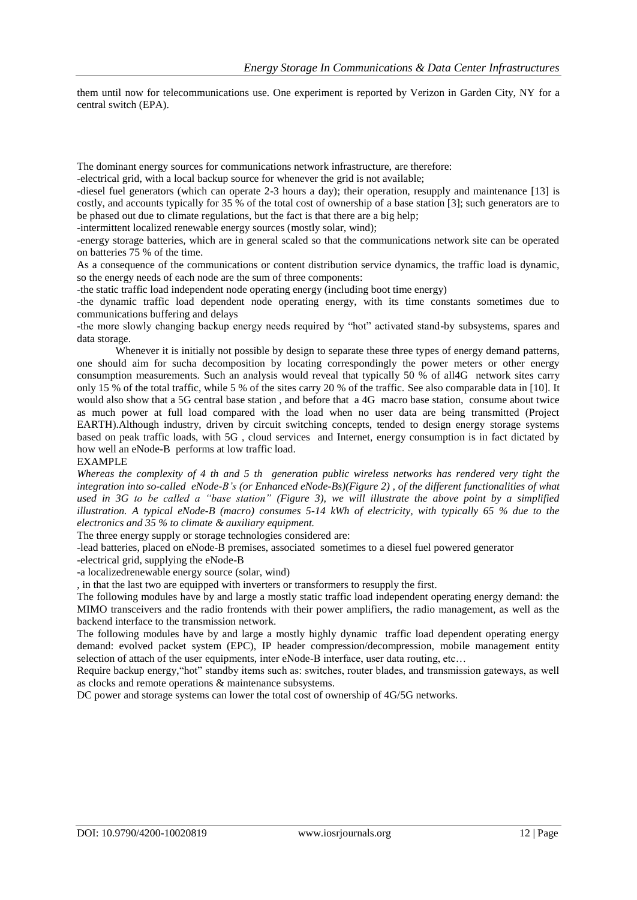them until now for telecommunications use. One experiment is reported by Verizon in Garden City, NY for a central switch (EPA).

The dominant energy sources for communications network infrastructure, are therefore:

-electrical grid, with a local backup source for whenever the grid is not available;

-diesel fuel generators (which can operate 2-3 hours a day); their operation, resupply and maintenance [13] is costly, and accounts typically for 35 % of the total cost of ownership of a base station [3]; such generators are to be phased out due to climate regulations, but the fact is that there are a big help;

-intermittent localized renewable energy sources (mostly solar, wind);

-energy storage batteries, which are in general scaled so that the communications network site can be operated on batteries 75 % of the time.

As a consequence of the communications or content distribution service dynamics, the traffic load is dynamic, so the energy needs of each node are the sum of three components:

-the static traffic load independent node operating energy (including boot time energy)

-the dynamic traffic load dependent node operating energy, with its time constants sometimes due to communications buffering and delays

-the more slowly changing backup energy needs required by "hot" activated stand-by subsystems, spares and data storage.

Whenever it is initially not possible by design to separate these three types of energy demand patterns, one should aim for sucha decomposition by locating correspondingly the power meters or other energy consumption measurements. Such an analysis would reveal that typically 50 % of all4G network sites carry only 15 % of the total traffic, while 5 % of the sites carry 20 % of the traffic. See also comparable data in [10]. It would also show that a 5G central base station , and before that a 4G macro base station, consume about twice as much power at full load compared with the load when no user data are being transmitted (Project EARTH).Although industry, driven by circuit switching concepts, tended to design energy storage systems based on peak traffic loads, with 5G , cloud services and Internet, energy consumption is in fact dictated by how well an eNode-B performs at low traffic load.

EXAMPLE

*Whereas the complexity of 4 th and 5 th generation public wireless networks has rendered very tight the integration into so-called eNode-B's (or Enhanced eNode-Bs)(Figure 2) , of the different functionalities of what used in 3G to be called a "base station" (Figure 3), we will illustrate the above point by a simplified illustration. A typical eNode-B (macro) consumes 5-14 kWh of electricity, with typically 65 % due to the electronics and 35 % to climate & auxiliary equipment.*

The three energy supply or storage technologies considered are:

-lead batteries, placed on eNode-B premises, associated sometimes to a diesel fuel powered generator

-electrical grid, supplying the eNode-B

-a localizedrenewable energy source (solar, wind)

, in that the last two are equipped with inverters or transformers to resupply the first.

The following modules have by and large a mostly static traffic load independent operating energy demand: the MIMO transceivers and the radio frontends with their power amplifiers, the radio management, as well as the backend interface to the transmission network.

The following modules have by and large a mostly highly dynamic traffic load dependent operating energy demand: evolved packet system (EPC), IP header compression/decompression, mobile management entity selection of attach of the user equipments, inter eNode-B interface, user data routing, etc...

Require backup energy,"hot" standby items such as: switches, router blades, and transmission gateways, as well as clocks and remote operations & maintenance subsystems.

DC power and storage systems can lower the total cost of ownership of 4G/5G networks.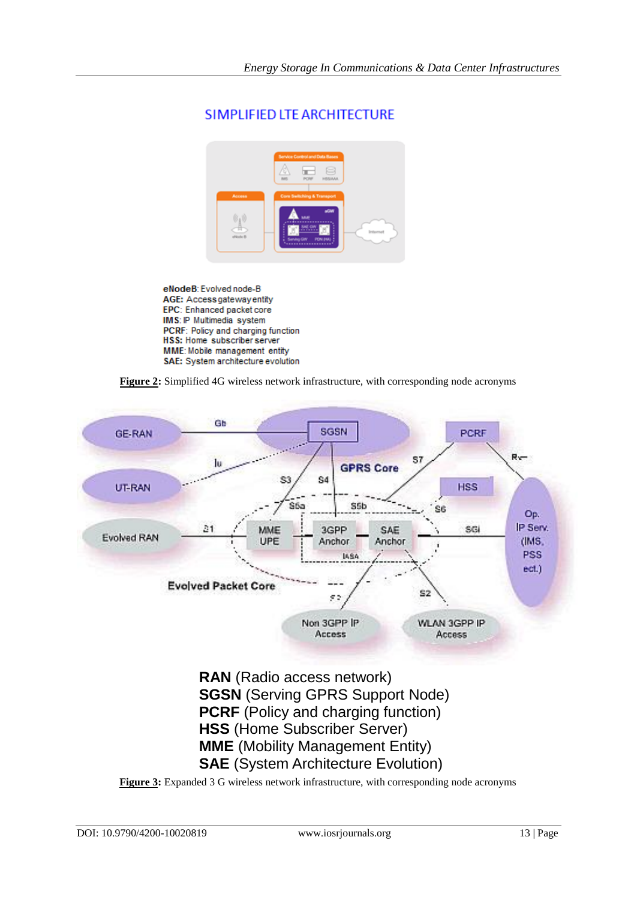

## SIMPLIFIED LTE ARCHITECTURE

eNodeB: Evolved node-B AGE: Access gateway entity EPC: Enhanced packet core IMS: IP Multimedia system PCRF: Policy and charging function HSS: Home subscriber server MME: Mobile management entity SAE: System architecture evolution

**Figure 2:** Simplified 4G wireless network infrastructure, with corresponding node acronyms

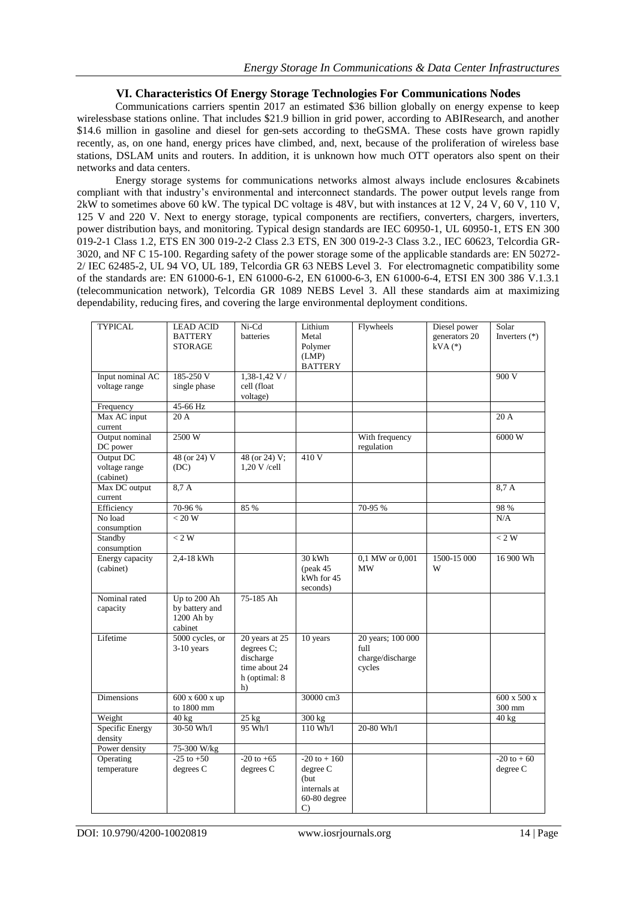## **VI. Characteristics Of Energy Storage Technologies For Communications Nodes**

Communications carriers spentin 2017 an estimated \$36 billion globally on energy expense to keep wirelessbase stations online. That includes \$21.9 billion in grid power, according to ABIResearch, and another \$14.6 million in gasoline and diesel for gen-sets according to theGSMA. These costs have grown rapidly recently, as, on one hand, energy prices have climbed, and, next, because of the proliferation of wireless base stations, DSLAM units and routers. In addition, it is unknown how much OTT operators also spent on their networks and data centers.

Energy storage systems for communications networks almost always include enclosures &cabinets compliant with that industry"s environmental and interconnect standards. The power output levels range from 2kW to sometimes above 60 kW. The typical DC voltage is 48V, but with instances at 12  $\dot{V}$ , 24 V, 60 V, 110 V, 125 V and 220 V. Next to energy storage, typical components are rectifiers, converters, chargers, inverters, power distribution bays, and monitoring. Typical design standards are IEC 60950-1, UL 60950-1, ETS EN 300 019-2-1 Class 1.2, ETS EN 300 019-2-2 Class 2.3 ETS, EN 300 019-2-3 Class 3.2., IEC 60623, Telcordia GR-3020, and NF C 15-100. Regarding safety of the power storage some of the applicable standards are: EN 50272- 2/ IEC 62485-2, UL 94 VO, UL 189, Telcordia GR 63 NEBS Level 3. For electromagnetic compatibility some of the standards are: EN 61000-6-1, EN 61000-6-2, EN 61000-6-3, EN 61000-6-4, ETSI EN 300 386 V.1.3.1 (telecommunication network), Telcordia GR 1089 NEBS Level 3. All these standards aim at maximizing dependability, reducing fires, and covering the large environmental deployment conditions.

| <b>TYPICAL</b>                          | <b>LEAD ACID</b><br><b>BATTERY</b><br><b>STORAGE</b>    | Ni-Cd<br>batteries                                                                | Lithium<br>Metal<br>Polymer<br>(LMP)<br><b>BATTERY</b>                                 | Flywheels                                               | Diesel power<br>generators 20<br>$kVA$ $(*)$ | Solar<br>Inverters $(*)$          |
|-----------------------------------------|---------------------------------------------------------|-----------------------------------------------------------------------------------|----------------------------------------------------------------------------------------|---------------------------------------------------------|----------------------------------------------|-----------------------------------|
| Input nominal AC<br>voltage range       | 185-250 V<br>single phase                               | $1,38-1,42$ V /<br>cell (float<br>voltage)                                        |                                                                                        |                                                         |                                              | 900V                              |
| Frequency                               | 45-66 Hz                                                |                                                                                   |                                                                                        |                                                         |                                              |                                   |
| Max AC input<br>current                 | 20A                                                     |                                                                                   |                                                                                        |                                                         |                                              | 20A                               |
| Output nominal<br>DC power              | 2500 W                                                  |                                                                                   |                                                                                        | With frequency<br>regulation                            |                                              | 6000 W                            |
| Output DC<br>voltage range<br>(cabinet) | 48 (or 24) V<br>(DC)                                    | 48 (or 24) V;<br>$1,20 \text{ V}$ /cell                                           | 410 V                                                                                  |                                                         |                                              |                                   |
| Max DC output<br>current                | 8.7 A                                                   |                                                                                   |                                                                                        |                                                         |                                              | 8,7A                              |
| Efficiency                              | 70-96 %                                                 | 85 %                                                                              |                                                                                        | 70-95 %                                                 |                                              | 98 %                              |
| No load<br>consumption                  | < 20 W                                                  |                                                                                   |                                                                                        |                                                         |                                              | N/A                               |
| Standby<br>consumption                  | $< 2 W$                                                 |                                                                                   |                                                                                        |                                                         |                                              | < 2 W                             |
| Energy capacity<br>(cabinet)            | 2,4-18 kWh                                              |                                                                                   | 30 kWh<br>$(\text{peak } 45)$<br>kWh for 45<br>seconds)                                | 0,1 MW or 0,001<br><b>MW</b>                            | 1500-15 000<br>W                             | 16 900 Wh                         |
| Nominal rated<br>capacity               | Up to 200 Ah<br>by battery and<br>1200 Ah by<br>cabinet | 75-185 Ah                                                                         |                                                                                        |                                                         |                                              |                                   |
| Lifetime                                | 5000 cycles, or<br>$3-10$ years                         | 20 years at 25<br>degrees C;<br>discharge<br>time about 24<br>h (optimal: 8<br>h) | 10 years                                                                               | 20 years; 100 000<br>full<br>charge/discharge<br>cycles |                                              |                                   |
| Dimensions                              | 600 x 600 x up<br>to 1800 mm                            |                                                                                   | 30000 cm3                                                                              |                                                         |                                              | $600 \times 500 \times$<br>300 mm |
| Weight                                  | $40$ kg                                                 | $25$ kg                                                                           | 300 kg                                                                                 |                                                         |                                              | 40 kg                             |
| Specific Energy<br>density              | 30-50 Wh/1                                              | 95 Wh/l                                                                           | 110 Wh/1                                                                               | 20-80 Wh/1                                              |                                              |                                   |
| Power density                           | 75-300 W/kg                                             |                                                                                   |                                                                                        |                                                         |                                              |                                   |
| Operating<br>temperature                | $-25$ to $+50$<br>degrees C                             | $-20$ to $+65$<br>degrees C                                                       | $-20$ to $+160$<br>degree C<br>(but<br>internals at<br>$60-80$ degree<br>$\mathcal{C}$ |                                                         |                                              | $-20$ to $+60$<br>degree C        |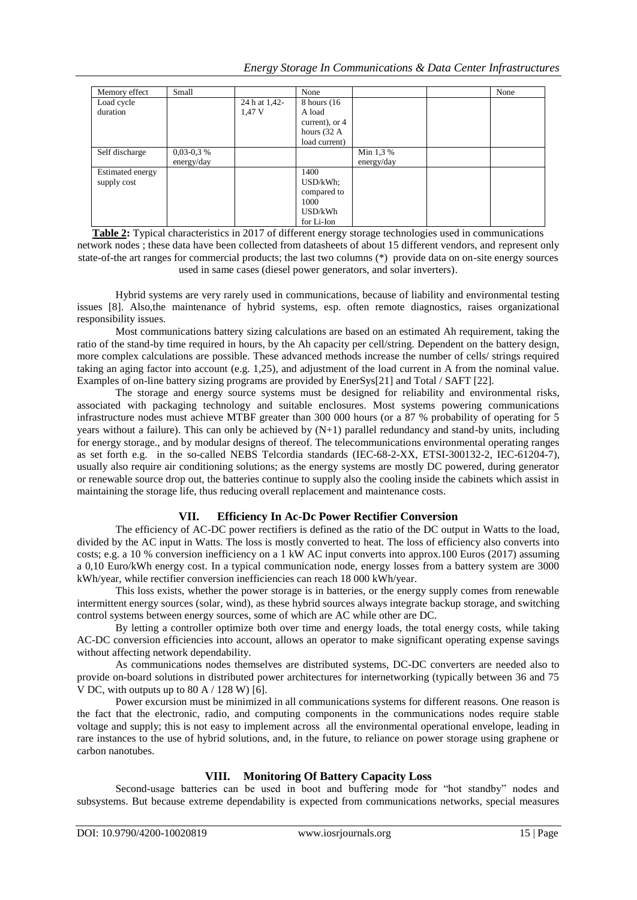| Memory effect    | Small       |               | None                   |            | None |
|------------------|-------------|---------------|------------------------|------------|------|
| Load cycle       |             | 24 h at 1,42- | 8 hours (16)           |            |      |
| duration         |             | 1,47 V        | A load                 |            |      |
|                  |             |               | current), or 4         |            |      |
|                  |             |               | hours $(32 \text{ A})$ |            |      |
|                  |             |               | load current)          |            |      |
| Self discharge   | $0,03-0,3%$ |               |                        | Min 1,3 %  |      |
|                  | energy/day  |               |                        | energy/day |      |
| Estimated energy |             |               | 1400                   |            |      |
| supply cost      |             |               | USD/kWh                |            |      |
|                  |             |               | compared to            |            |      |
|                  |             |               | 1000                   |            |      |
|                  |             |               | USD/kWh                |            |      |
|                  |             |               | for Li-Ion             |            |      |

**Table 2:** Typical characteristics in 2017 of different energy storage technologies used in communications network nodes ; these data have been collected from datasheets of about 15 different vendors, and represent only state-of-the art ranges for commercial products; the last two columns (\*) provide data on on-site energy sources used in same cases (diesel power generators, and solar inverters).

Hybrid systems are very rarely used in communications, because of liability and environmental testing issues [8]. Also,the maintenance of hybrid systems, esp. often remote diagnostics, raises organizational responsibility issues.

Most communications battery sizing calculations are based on an estimated Ah requirement, taking the ratio of the stand-by time required in hours, by the Ah capacity per cell/string. Dependent on the battery design, more complex calculations are possible. These advanced methods increase the number of cells/ strings required taking an aging factor into account (e.g. 1,25), and adjustment of the load current in A from the nominal value. Examples of on-line battery sizing programs are provided by EnerSys[21] and Total / SAFT [22].

The storage and energy source systems must be designed for reliability and environmental risks, associated with packaging technology and suitable enclosures. Most systems powering communications infrastructure nodes must achieve MTBF greater than 300 000 hours (or a 87 % probability of operating for 5 years without a failure). This can only be achieved by (N+1) parallel redundancy and stand-by units, including for energy storage., and by modular designs of thereof. The telecommunications environmental operating ranges as set forth e.g. in the so-called NEBS Telcordia standards (IEC-68-2-XX, ETSI-300132-2, IEC-61204-7), usually also require air conditioning solutions; as the energy systems are mostly DC powered, during generator or renewable source drop out, the batteries continue to supply also the cooling inside the cabinets which assist in maintaining the storage life, thus reducing overall replacement and maintenance costs.

## **VII. Efficiency In Ac-Dc Power Rectifier Conversion**

The efficiency of AC-DC power rectifiers is defined as the ratio of the DC output in Watts to the load, divided by the AC input in Watts. The loss is mostly converted to heat. The loss of efficiency also converts into costs; e.g. a 10 % conversion inefficiency on a 1 kW AC input converts into approx.100 Euros (2017) assuming a 0,10 Euro/kWh energy cost. In a typical communication node, energy losses from a battery system are 3000 kWh/year, while rectifier conversion inefficiencies can reach 18 000 kWh/year.

This loss exists, whether the power storage is in batteries, or the energy supply comes from renewable intermittent energy sources (solar, wind), as these hybrid sources always integrate backup storage, and switching control systems between energy sources, some of which are AC while other are DC.

By letting a controller optimize both over time and energy loads, the total energy costs, while taking AC-DC conversion efficiencies into account, allows an operator to make significant operating expense savings without affecting network dependability.

As communications nodes themselves are distributed systems, DC-DC converters are needed also to provide on-board solutions in distributed power architectures for internetworking (typically between 36 and 75 V DC, with outputs up to 80 A / 128 W) [6].

Power excursion must be minimized in all communications systems for different reasons. One reason is the fact that the electronic, radio, and computing components in the communications nodes require stable voltage and supply; this is not easy to implement across all the environmental operational envelope, leading in rare instances to the use of hybrid solutions, and, in the future, to reliance on power storage using graphene or carbon nanotubes.

## **VIII. Monitoring Of Battery Capacity Loss**

Second-usage batteries can be used in boot and buffering mode for "hot standby" nodes and subsystems. But because extreme dependability is expected from communications networks, special measures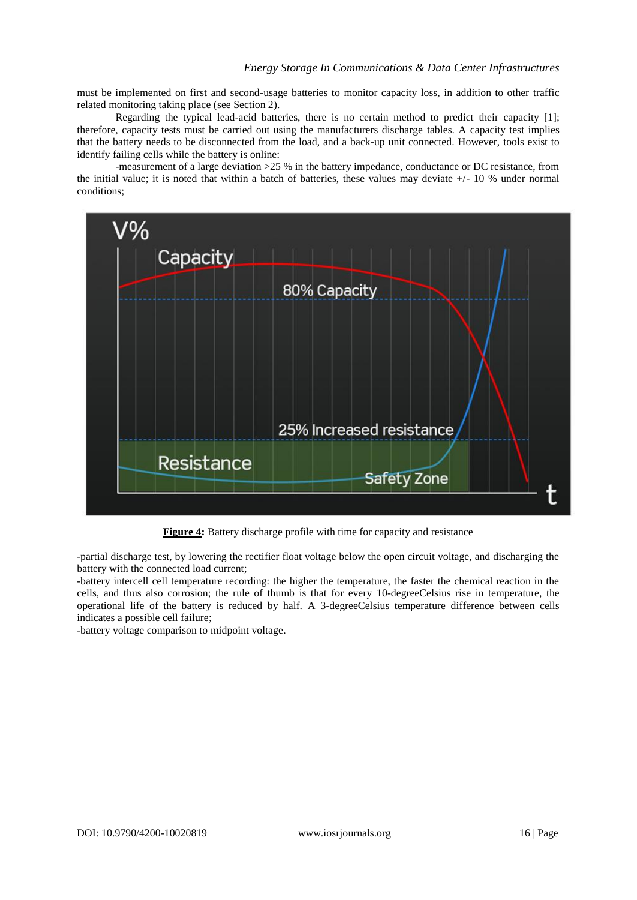must be implemented on first and second-usage batteries to monitor capacity loss, in addition to other traffic related monitoring taking place (see Section 2).

Regarding the typical lead-acid batteries, there is no certain method to predict their capacity [1]; therefore, capacity tests must be carried out using the manufacturers discharge tables. A capacity test implies that the battery needs to be disconnected from the load, and a back-up unit connected. However, tools exist to identify failing cells while the battery is online:

-measurement of a large deviation >25 % in the battery impedance, conductance or DC resistance, from the initial value; it is noted that within a batch of batteries, these values may deviate +/- 10 % under normal conditions;



**Figure 4:** Battery discharge profile with time for capacity and resistance

-partial discharge test, by lowering the rectifier float voltage below the open circuit voltage, and discharging the battery with the connected load current;

-battery intercell cell temperature recording: the higher the temperature, the faster the chemical reaction in the cells, and thus also corrosion; the rule of thumb is that for every 10-degreeCelsius rise in temperature, the operational life of the battery is reduced by half. A 3-degreeCelsius temperature difference between cells indicates a possible cell failure;

-battery voltage comparison to midpoint voltage.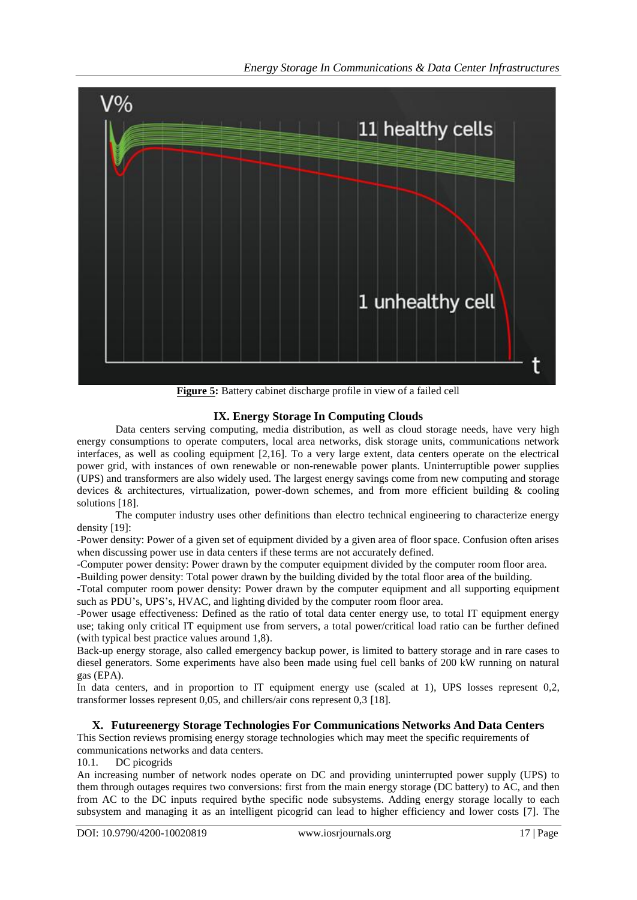

**Figure 5:** Battery cabinet discharge profile in view of a failed cell

#### **IX. Energy Storage In Computing Clouds**

Data centers serving computing, media distribution, as well as cloud storage needs, have very high energy consumptions to operate computers, local area networks, disk storage units, communications network interfaces, as well as cooling equipment [2,16]. To a very large extent, data centers operate on the electrical power grid, with instances of own renewable or non-renewable power plants. Uninterruptible power supplies (UPS) and transformers are also widely used. The largest energy savings come from new computing and storage devices & architectures, virtualization, power-down schemes, and from more efficient building & cooling solutions [18].

The computer industry uses other definitions than electro technical engineering to characterize energy density [19]:

-Power density: Power of a given set of equipment divided by a given area of floor space. Confusion often arises when discussing power use in data centers if these terms are not accurately defined.

-Computer power density: Power drawn by the computer equipment divided by the computer room floor area.

-Building power density: Total power drawn by the building divided by the total floor area of the building.

-Total computer room power density: Power drawn by the computer equipment and all supporting equipment such as PDU's, UPS's, HVAC, and lighting divided by the computer room floor area.

-Power usage effectiveness: Defined as the ratio of total data center energy use, to total IT equipment energy use; taking only critical IT equipment use from servers, a total power/critical load ratio can be further defined (with typical best practice values around 1,8).

Back-up energy storage, also called emergency backup power, is limited to battery storage and in rare cases to diesel generators. Some experiments have also been made using fuel cell banks of 200 kW running on natural gas (EPA).

In data centers, and in proportion to IT equipment energy use (scaled at 1), UPS losses represent 0.2, transformer losses represent 0,05, and chillers/air cons represent 0,3 [18].

#### **X. Futureenergy Storage Technologies For Communications Networks And Data Centers**

This Section reviews promising energy storage technologies which may meet the specific requirements of communications networks and data centers.

10.1. DC picogrids

An increasing number of network nodes operate on DC and providing uninterrupted power supply (UPS) to them through outages requires two conversions: first from the main energy storage (DC battery) to AC, and then from AC to the DC inputs required bythe specific node subsystems. Adding energy storage locally to each subsystem and managing it as an intelligent picogrid can lead to higher efficiency and lower costs [7]. The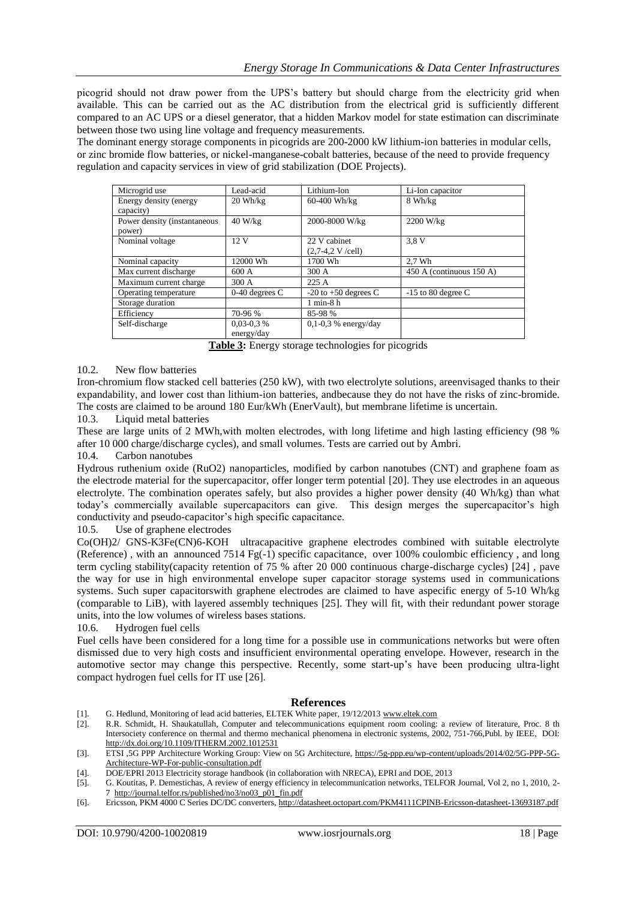picogrid should not draw power from the UPS"s battery but should charge from the electricity grid when available. This can be carried out as the AC distribution from the electrical grid is sufficiently different compared to an AC UPS or a diesel generator, that a hidden Markov model for state estimation can discriminate between those two using line voltage and frequency measurements.

The dominant energy storage components in picogrids are 200-2000 kW lithium-ion batteries in modular cells, or zinc bromide flow batteries, or nickel-manganese-cobalt batteries, because of the need to provide frequency regulation and capacity services in view of grid stabilization (DOE Projects).

| Microgrid use                          | Lead-acid                    | Lithium-Ion                        | Li-Ion capacitor         |
|----------------------------------------|------------------------------|------------------------------------|--------------------------|
| Energy density (energy<br>capacity)    | $20 \text{ Wh/kg}$           | 60-400 Wh/kg                       | 8 Wh/kg                  |
| Power density (instantaneous<br>power) | 40 W/kg                      | 2000-8000 W/kg                     | 2200 W/kg                |
| Nominal voltage                        | 12V                          | 22 V cabinet<br>$(2,7-4,2 V/cell)$ | 3.8 V                    |
| Nominal capacity                       | 12000 Wh                     | 1700 Wh                            | $2.7$ Wh                 |
| Max current discharge                  | 600A                         | 300 A                              | 450 A (continuous 150 A) |
| Maximum current charge                 | 300 A                        | 225A                               |                          |
| Operating temperature                  | $0-40$ degrees C             | $-20$ to $+50$ degrees C           | $-15$ to 80 degree C     |
| Storage duration                       |                              | $1$ min- $8$ h                     |                          |
| Efficiency                             | 70-96 %                      | 85-98 %                            |                          |
| Self-discharge                         | $0.03 - 0.3 %$<br>energy/day | $0.1 - 0.3$ % energy/day           |                          |

**Table 3:** Energy storage technologies for picogrids

#### 10.2. New flow batteries

Iron-chromium flow stacked cell batteries (250 kW), with two electrolyte solutions, areenvisaged thanks to their expandability, and lower cost than lithium-ion batteries, andbecause they do not have the risks of zinc-bromide. The costs are claimed to be around 180 Eur/kWh (EnerVault), but membrane lifetime is uncertain.

10.3. Liquid metal batteries

These are large units of 2 MWh,with molten electrodes, with long lifetime and high lasting efficiency (98 % after 10 000 charge/discharge cycles), and small volumes. Tests are carried out by Ambri.

#### 10.4. Carbon nanotubes

Hydrous ruthenium oxide (RuO2) nanoparticles, modified by carbon nanotubes (CNT) and graphene foam as the electrode material for the supercapacitor, offer longer term potential [20]. They use electrodes in an aqueous electrolyte. The combination operates safely, but also provides a higher power density (40 Wh/kg) than what today's commercially available supercapacitors can give. This design merges the supercapacitor's high conductivity and pseudo-capacitor's high specific capacitance.

10.5. Use of graphene electrodes

Co(OH)2/ GNS-K3Fe(CN)6-KOH ultracapacitive graphene electrodes combined with suitable electrolyte (Reference) , with an announced 7514 Fg(-1) specific capacitance, over 100% coulombic efficiency , and long term cycling stability(capacity retention of 75 % after 20 000 continuous charge-discharge cycles) [24] , pave the way for use in high environmental envelope super capacitor storage systems used in communications systems. Such super capacitorswith graphene electrodes are claimed to have aspecific energy of 5-10 Wh/kg (comparable to LiB), with layered assembly techniques [25]. They will fit, with their redundant power storage units, into the low volumes of wireless bases stations.

#### 10.6. Hydrogen fuel cells

Fuel cells have been considered for a long time for a possible use in communications networks but were often dismissed due to very high costs and insufficient environmental operating envelope. However, research in the automotive sector may change this perspective. Recently, some start-up"s have been producing ultra-light compact hydrogen fuel cells for IT use [26].

#### **References**

- [1]. G. Hedlund, Monitoring of lead acid batteries, ELTEK White paper, 19/12/201[3 www.eltek.com](http://www.eltek.com/)
- [2]. R.R. Schmidt, H. Shaukatullah, Computer and telecommunications equipment room cooling: a review of literature, Proc. 8 th Intersociety conference on thermal and thermo mechanical phenomena in electronic systems, 2002, 751-766,Publ. by IEEE, DOI: <http://dx.doi.org/10.1109/ITHERM.2002.1012531>
- [3]. ETSI ,5G PPP Architecture Working Group: View on 5G Architecture, [https://5g-ppp.eu/wp-content/uploads/2014/02/5G-PPP-5G-](https://5g-ppp.eu/wp-content/uploads/2014/02/5G-PPP-5G-Architecture-WP-For-public-consultation.pdf)[Architecture-WP-For-public-consultation.pdf](https://5g-ppp.eu/wp-content/uploads/2014/02/5G-PPP-5G-Architecture-WP-For-public-consultation.pdf)
- [4]. DOE/EPRI 2013 Electricity storage handbook (in collaboration with NRECA), EPRI and DOE, 2013
- [5]. G. Koutitas, P. Demestichas, A review of energy efficiency in telecommunication networks, TELFOR Journal, Vol 2, no 1, 2010, 2- 7 [http://journal.telfor.rs/published/no3/no03\\_p01\\_fin.pdf](http://journal.telfor.rs/published/no3/no03_p01_fin.pdf)
- [6]. Ericsson, PKM 4000 C Series DC/DC converters[, http://datasheet.octopart.com/PKM4111CPINB-Ericsson-datasheet-13693187.pdf](http://datasheet.octopart.com/PKM4111CPINB-Ericsson-datasheet-13693187.pdf)